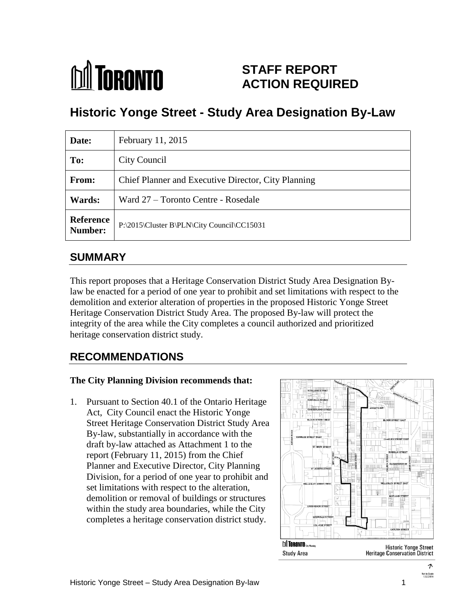# **M** TORONTO

## **STAFF REPORT ACTION REQUIRED**

## **Historic Yonge Street - Study Area Designation By-Law**

| Date:                       | February 11, 2015                                   |
|-----------------------------|-----------------------------------------------------|
| To:                         | City Council                                        |
| From:                       | Chief Planner and Executive Director, City Planning |
| <b>Wards:</b>               | Ward 27 – Toronto Centre - Rosedale                 |
| <b>Reference</b><br>Number: | P:\2015\Cluster B\PLN\City Council\CC15031          |

## **SUMMARY**

This report proposes that a Heritage Conservation District Study Area Designation Bylaw be enacted for a period of one year to prohibit and set limitations with respect to the demolition and exterior alteration of properties in the proposed Historic Yonge Street Heritage Conservation District Study Area. The proposed By-law will protect the integrity of the area while the City completes a council authorized and prioritized heritage conservation district study.

## **RECOMMENDATIONS**

## **The City Planning Division recommends that:**

1. Pursuant to Section 40.1 of the Ontario Heritage Act, City Council enact the Historic Yonge Street Heritage Conservation District Study Area By-law, substantially in accordance with the draft by-law attached as Attachment 1 to the report (February 11, 2015) from the Chief Planner and Executive Director, City Planning Division, for a period of one year to prohibit and set limitations with respect to the alteration, demolition or removal of buildings or structures within the study area boundaries, while the City completes a heritage conservation district study.



へ Not to Scale<br>12/2/2014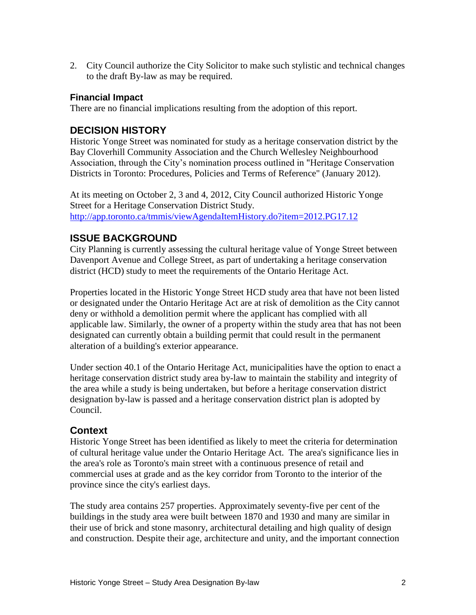2. City Council authorize the City Solicitor to make such stylistic and technical changes to the draft By-law as may be required.

#### **Financial Impact**

There are no financial implications resulting from the adoption of this report.

## **DECISION HISTORY**

Historic Yonge Street was nominated for study as a heritage conservation district by the Bay Cloverhill Community Association and the Church Wellesley Neighbourhood Association, through the City's nomination process outlined in "Heritage Conservation Districts in Toronto: Procedures, Policies and Terms of Reference" (January 2012).

At its meeting on October 2, 3 and 4, 2012, City Council authorized Historic Yonge Street for a Heritage Conservation District Study. <http://app.toronto.ca/tmmis/viewAgendaItemHistory.do?item=2012.PG17.12>

## **ISSUE BACKGROUND**

City Planning is currently assessing the cultural heritage value of Yonge Street between Davenport Avenue and College Street, as part of undertaking a heritage conservation district (HCD) study to meet the requirements of the Ontario Heritage Act.

Properties located in the Historic Yonge Street HCD study area that have not been listed or designated under the Ontario Heritage Act are at risk of demolition as the City cannot deny or withhold a demolition permit where the applicant has complied with all applicable law. Similarly, the owner of a property within the study area that has not been designated can currently obtain a building permit that could result in the permanent alteration of a building's exterior appearance.

Under section 40.1 of the Ontario Heritage Act, municipalities have the option to enact a heritage conservation district study area by-law to maintain the stability and integrity of the area while a study is being undertaken, but before a heritage conservation district designation by-law is passed and a heritage conservation district plan is adopted by Council.

## **Context**

Historic Yonge Street has been identified as likely to meet the criteria for determination of cultural heritage value under the Ontario Heritage Act. The area's significance lies in the area's role as Toronto's main street with a continuous presence of retail and commercial uses at grade and as the key corridor from Toronto to the interior of the province since the city's earliest days.

The study area contains 257 properties. Approximately seventy-five per cent of the buildings in the study area were built between 1870 and 1930 and many are similar in their use of brick and stone masonry, architectural detailing and high quality of design and construction. Despite their age, architecture and unity, and the important connection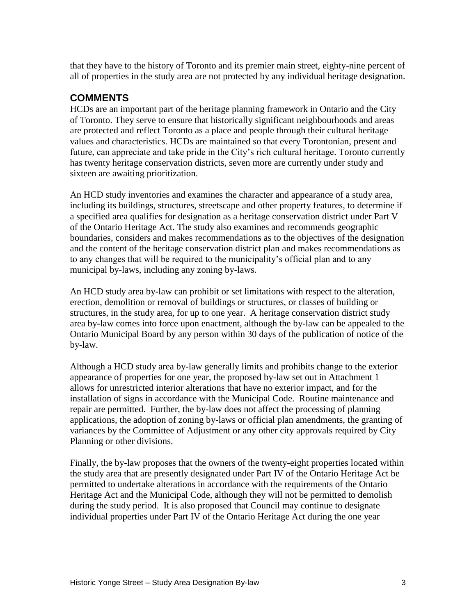that they have to the history of Toronto and its premier main street, eighty-nine percent of all of properties in the study area are not protected by any individual heritage designation.

## **COMMENTS**

HCDs are an important part of the heritage planning framework in Ontario and the City of Toronto. They serve to ensure that historically significant neighbourhoods and areas are protected and reflect Toronto as a place and people through their cultural heritage values and characteristics. HCDs are maintained so that every Torontonian, present and future, can appreciate and take pride in the City's rich cultural heritage. Toronto currently has twenty heritage conservation districts, seven more are currently under study and sixteen are awaiting prioritization.

An HCD study inventories and examines the character and appearance of a study area, including its buildings, structures, streetscape and other property features, to determine if a specified area qualifies for designation as a heritage conservation district under Part V of the Ontario Heritage Act. The study also examines and recommends geographic boundaries, considers and makes recommendations as to the objectives of the designation and the content of the heritage conservation district plan and makes recommendations as to any changes that will be required to the municipality's official plan and to any municipal by-laws, including any zoning by-laws.

An HCD study area by-law can prohibit or set limitations with respect to the alteration, erection, demolition or removal of buildings or structures, or classes of building or structures, in the study area, for up to one year. A heritage conservation district study area by-law comes into force upon enactment, although the by-law can be appealed to the Ontario Municipal Board by any person within 30 days of the publication of notice of the by-law.

Although a HCD study area by-law generally limits and prohibits change to the exterior appearance of properties for one year, the proposed by-law set out in Attachment 1 allows for unrestricted interior alterations that have no exterior impact, and for the installation of signs in accordance with the Municipal Code. Routine maintenance and repair are permitted. Further, the by-law does not affect the processing of planning applications, the adoption of zoning by-laws or official plan amendments, the granting of variances by the Committee of Adjustment or any other city approvals required by City Planning or other divisions.

Finally, the by-law proposes that the owners of the twenty-eight properties located within the study area that are presently designated under Part IV of the Ontario Heritage Act be permitted to undertake alterations in accordance with the requirements of the Ontario Heritage Act and the Municipal Code, although they will not be permitted to demolish during the study period. It is also proposed that Council may continue to designate individual properties under Part IV of the Ontario Heritage Act during the one year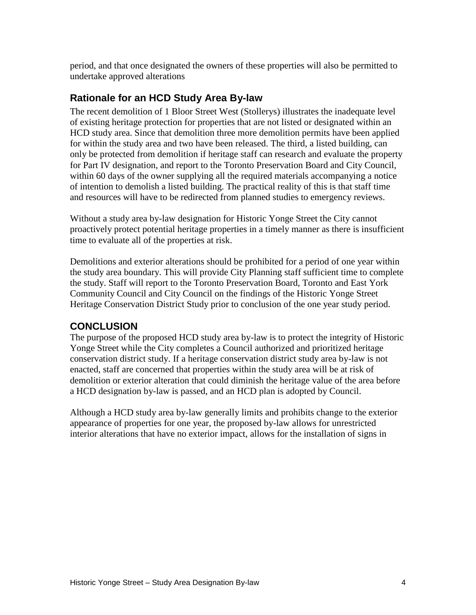period, and that once designated the owners of these properties will also be permitted to undertake approved alterations

## **Rationale for an HCD Study Area By-law**

The recent demolition of 1 Bloor Street West (Stollerys) illustrates the inadequate level of existing heritage protection for properties that are not listed or designated within an HCD study area. Since that demolition three more demolition permits have been applied for within the study area and two have been released. The third, a listed building, can only be protected from demolition if heritage staff can research and evaluate the property for Part IV designation, and report to the Toronto Preservation Board and City Council, within 60 days of the owner supplying all the required materials accompanying a notice of intention to demolish a listed building. The practical reality of this is that staff time and resources will have to be redirected from planned studies to emergency reviews.

Without a study area by-law designation for Historic Yonge Street the City cannot proactively protect potential heritage properties in a timely manner as there is insufficient time to evaluate all of the properties at risk.

Demolitions and exterior alterations should be prohibited for a period of one year within the study area boundary. This will provide City Planning staff sufficient time to complete the study. Staff will report to the Toronto Preservation Board, Toronto and East York Community Council and City Council on the findings of the Historic Yonge Street Heritage Conservation District Study prior to conclusion of the one year study period.

## **CONCLUSION**

The purpose of the proposed HCD study area by-law is to protect the integrity of Historic Yonge Street while the City completes a Council authorized and prioritized heritage conservation district study. If a heritage conservation district study area by-law is not enacted, staff are concerned that properties within the study area will be at risk of demolition or exterior alteration that could diminish the heritage value of the area before a HCD designation by-law is passed, and an HCD plan is adopted by Council.

Although a HCD study area by-law generally limits and prohibits change to the exterior appearance of properties for one year, the proposed by-law allows for unrestricted interior alterations that have no exterior impact, allows for the installation of signs in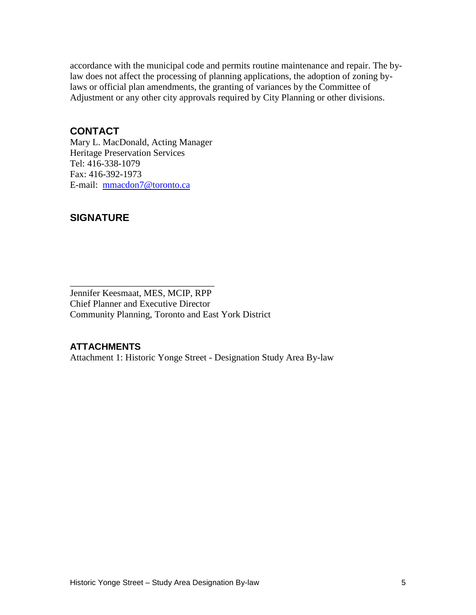accordance with the municipal code and permits routine maintenance and repair. The bylaw does not affect the processing of planning applications, the adoption of zoning bylaws or official plan amendments, the granting of variances by the Committee of Adjustment or any other city approvals required by City Planning or other divisions.

## **CONTACT**

Mary L. MacDonald, Acting Manager Heritage Preservation Services Tel: 416-338-1079 Fax: 416-392-1973 E-mail: [mmacdon7@toronto.ca](mailto:mmacdon7@toronto.ca)

\_\_\_\_\_\_\_\_\_\_\_\_\_\_\_\_\_\_\_\_\_\_\_\_\_\_\_\_\_\_\_

## **SIGNATURE**

Jennifer Keesmaat, MES, MCIP, RPP Chief Planner and Executive Director Community Planning, Toronto and East York District

#### **ATTACHMENTS**

Attachment 1: Historic Yonge Street - Designation Study Area By-law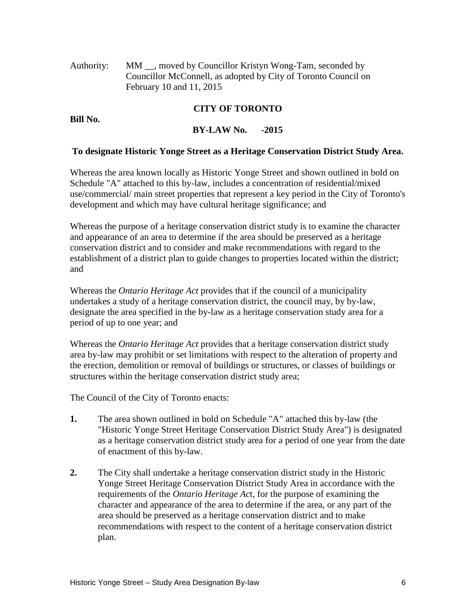Authority: MM \_, moved by Councillor Kristyn Wong-Tam, seconded by Councillor McConnell, as adopted by City of Toronto Council on February 10 and 11, 2015

#### **CITY OF TORONTO**

**Bill No.**

#### **BY-LAW No. -2015**

#### **To designate Historic Yonge Street as a Heritage Conservation District Study Area.**

Whereas the area known locally as Historic Yonge Street and shown outlined in bold on Schedule "A" attached to this by-law, includes a concentration of residential/mixed use/commercial/ main street properties that represent a key period in the City of Toronto's development and which may have cultural heritage significance; and

Whereas the purpose of a heritage conservation district study is to examine the character and appearance of an area to determine if the area should be preserved as a heritage conservation district and to consider and make recommendations with regard to the establishment of a district plan to guide changes to properties located within the district; and

Whereas the *Ontario Heritage Act* provides that if the council of a municipality undertakes a study of a heritage conservation district, the council may, by by-law, designate the area specified in the by-law as a heritage conservation study area for a period of up to one year; and

Whereas the *Ontario Heritage Act* provides that a heritage conservation district study area by-law may prohibit or set limitations with respect to the alteration of property and the erection, demolition or removal of buildings or structures, or classes of buildings or structures within the heritage conservation district study area;

The Council of the City of Toronto enacts:

- **1.** The area shown outlined in bold on Schedule "A" attached this by-law (the "Historic Yonge Street Heritage Conservation District Study Area") is designated as a heritage conservation district study area for a period of one year from the date of enactment of this by-law.
- **2.** The City shall undertake a heritage conservation district study in the Historic Yonge Street Heritage Conservation District Study Area in accordance with the requirements of the *Ontario Heritage Ac*t, for the purpose of examining the character and appearance of the area to determine if the area, or any part of the area should be preserved as a heritage conservation district and to make recommendations with respect to the content of a heritage conservation district plan.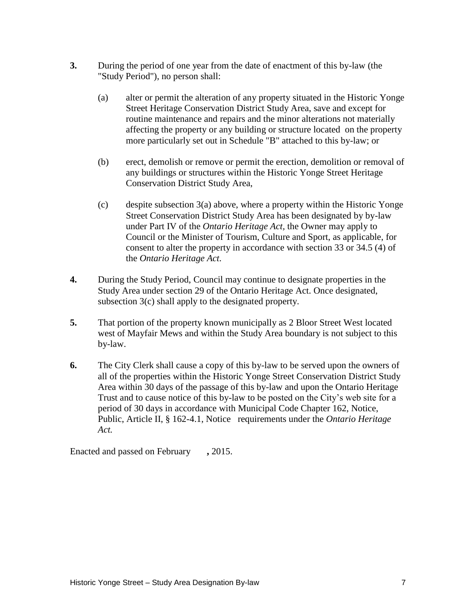- **3.** During the period of one year from the date of enactment of this by-law (the "Study Period"), no person shall:
	- (a) alter or permit the alteration of any property situated in the Historic Yonge Street Heritage Conservation District Study Area, save and except for routine maintenance and repairs and the minor alterations not materially affecting the property or any building or structure located on the property more particularly set out in Schedule "B" attached to this by-law; or
	- (b) erect, demolish or remove or permit the erection, demolition or removal of any buildings or structures within the Historic Yonge Street Heritage Conservation District Study Area,
	- (c) despite subsection 3(a) above, where a property within the Historic Yonge Street Conservation District Study Area has been designated by by-law under Part IV of the *Ontario Heritage Act,* the Owner may apply to Council or the Minister of Tourism, Culture and Sport, as applicable, for consent to alter the property in accordance with section 33 or 34.5 (4) of the *Ontario Heritage Act.*
- **4.** During the Study Period, Council may continue to designate properties in the Study Area under section 29 of the Ontario Heritage Act. Once designated, subsection 3(c) shall apply to the designated property.
- **5.** That portion of the property known municipally as 2 Bloor Street West located west of Mayfair Mews and within the Study Area boundary is not subject to this by-law.
- **6.** The City Clerk shall cause a copy of this by-law to be served upon the owners of all of the properties within the Historic Yonge Street Conservation District Study Area within 30 days of the passage of this by-law and upon the Ontario Heritage Trust and to cause notice of this by-law to be posted on the City's web site for a period of 30 days in accordance with Municipal Code Chapter 162, Notice, Public, Article II, § 162-4.1, Notice requirements under the *Ontario Heritage Act.*

Enacted and passed on February **,** 2015.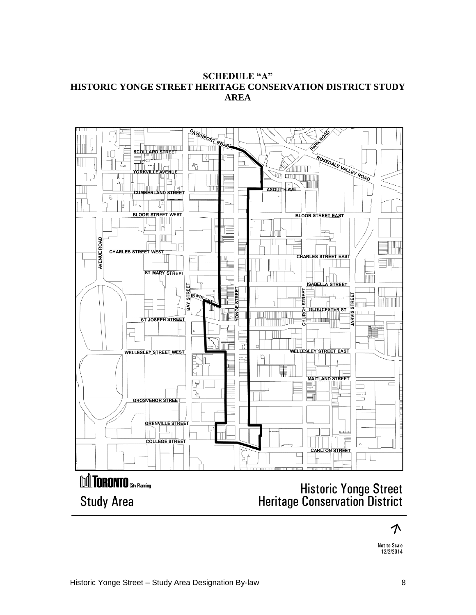#### **SCHEDULE "A" HISTORIC YONGE STREET HERITAGE CONSERVATION DISTRICT STUDY AREA**



个

Not to Scale 12/2/2014